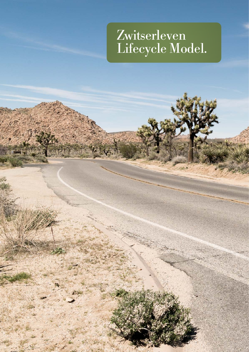# Zwitserleven Lifecycle Model.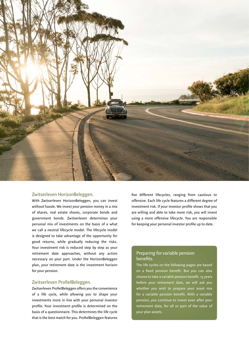

### Zwitserleven HorizonBeleggen.

With Zwitserleven HorizonBeleggen, you can invest without hassle. We invest your pension money in a mix of shares, real estate shares, corporate bonds and government bonds. Zwitserleven determines your personal mix of investments on the basis of a what we call a neutral lifecycle model. The lifecycle model is designed to take advantage of the opportunity for good returns, while gradually reducing the risks. Your investment risk is reduced step by step as your retirement date approaches, without any action necessary on your part. Under the HorizonBeleggen plan, your retirement date is the investment horizon for your pension.

### Zwitserleven ProfielBeleggen.

Zwitserleven ProfielBeleggen offers you the convenience of a life cycle, while allowing you to shape your investments more in line with your personal investor profile. Your investment profile is determined on the basis of a questionnaire. This determines the life cycle that is the best match for you. ProfielBeleggen features five different lifecycles, ranging from cautious to offensive. Each life cycle features a different degree of investment risk. If your investor profile shows that you are willing and able to take more risk, you will invest using a more offensive lifecycle. You are responsible for keeping your personal investor profile up to date.

### Preparing for variable pension benefits.

The life cycles on the following pages are based on a fixed pension benefit. But you can also choose to take a variable pension benefit. 15 years before your retirement date, we will ask you whether you wish to prepare your asset mix for a variable pension benefit. With a variable pension, you continue to invest even after your retirement date, for all or part of the value of your plan assets.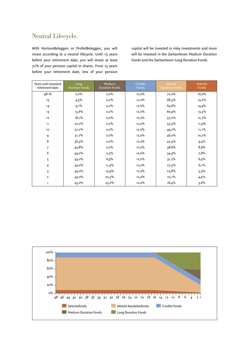### Neutral Lifecycle.

With HorizonBeleggen or ProfielBeleggen, you will invest according to a neutral lifecycle. Until 15 years before your retirement date, you will invest at least 72% of your pension capital in shares. From 15 years before your retirement date, less of your pension capital will be invested in risky investments and more will be invested in the Zwitserleven Medium Duration Fonds and the Zwitserleven Long Duration Fonds.

| Years until standard<br>retirement date | Long<br><b>Duration Fonds</b> | Medium<br><b>Duration Fonds</b> | <b>Credits</b><br>Fonds | Wereld<br>Aandelen Fonds | Selectie<br>Fonds |
|-----------------------------------------|-------------------------------|---------------------------------|-------------------------|--------------------------|-------------------|
| $48 - 16$                               | 0,0%                          | $0,0\%$                         | 12,0%                   | 72,0%                    | 16,0%             |
| 15                                      | $4,5\%$                       | $0,0\%$                         | 12,0%                   | 68,3%                    | $15,2\%$          |
| 14                                      | $9,1\%$                       | $0,0\%$                         | 12,0%                   | 64,6%                    | 14,4%             |
| 13                                      | 13,6%                         | $0,0\%$                         | 12,0%                   | 60,9%                    | $13,5\%$          |
| 12                                      | 18,1%                         | $0,0\%$                         | 12,0%                   | 57,2%                    | 12,7%             |
| 11                                      | 22,7%                         | $0,0\%$                         | 12,0%                   | $53,5\%$                 | 11,9%             |
| 10                                      | 27,2%                         | 0,0%                            | 12,0%                   | 49,7%                    | 11,1%             |
| 9                                       | 31,7%                         | 0,0%                            | 12,0%                   | 46,0%                    | 10,2%             |
| 8                                       | 36,3%                         | 0,0%                            | 12,0%                   | 42,3%                    | 9,4%              |
| 7                                       | 40,8%                         | $0,0\%$                         | 12,0%                   | 38,6%                    | 8,6%              |
| 6                                       | 43,0%                         | 2,3%                            | 12,0%                   | 34,9%                    | 7,8%              |
| 5                                       | $43,0\%$                      | 6,9%                            | 12,0%                   | $31,2\%$                 | 6,9%              |
| $\overline{4}$                          | 43,0%                         | 11,4%                           | 12,0%                   | $27,5\%$                 | 6,1%              |
| 3                                       | $43,0\%$                      | 15,9%                           | 12,0%                   | 23,8%                    | 5,3%              |
| $\overline{2}$                          | $43,0\%$                      | 20,5%                           | 12,0%                   | 20,1%                    | $4,5\%$           |
| 1                                       | $43,0\%$                      | 25,0%                           | 12,0%                   | 16,4%                    | 3,6%              |

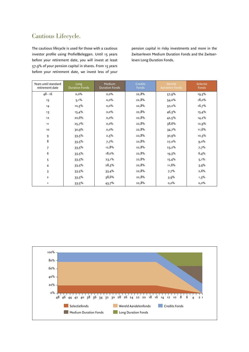# Cautious Lifecycle.

The cautious lifecycle is used for those with a cautious investor profile using ProfielBeleggen. Until 15 years before your retirement date, you will invest at least 57.9% of your pension capital in shares. From 15 years before your retirement date, we invest less of your pension capital in risky investments and more in the Zwitserleven Medium Duration Fonds and the Zwitserleven Long Duration Fonds.

| Years until standard<br>retirement date | Long<br><b>Duration Fonds</b> | Medium<br><b>Duration Fonds</b> | <b>Credits</b><br>Fonds | Wereld<br>Aandelen Fonds | Selectie<br>Fonds |
|-----------------------------------------|-------------------------------|---------------------------------|-------------------------|--------------------------|-------------------|
| $48 - 16$                               | $0,0\%$                       | $0,0\%$                         | 22,8%                   | 57,9%                    | 19,3%             |
| 15                                      | $5,1\%$                       | $0,0\%$                         | 22,8%                   | 54,0%                    | 18,0%             |
| 14                                      | 10,3%                         | $0,0\%$                         | 22,8%                   | 50,2%                    | 16,7%             |
| 13                                      | 15,4%                         | $0,0\%$                         | 22,8%                   | 46,3%                    | 15,4%             |
| $12$                                    | 20,6%                         | $0,0\%$                         | 22,8%                   | 42,5%                    | $14,2\%$          |
| 11                                      | 25,7%                         | $0,0\%$                         | 22,8%                   | 38,6%                    | 12,9%             |
| 10                                      | 30,9%                         | $0,0\%$                         | 22,8%                   | 34,7%                    | 11,6%             |
| 9                                       | 33,5%                         | 2,5%                            | 22,8%                   | 30,9%                    | 10,3%             |
| 8                                       | 33,5%                         | 7,7%                            | 22,8%                   | 27,0%                    | $9,0\%$           |
| 7                                       | 33,5%                         | 12,8%                           | 22,8%                   | 23,2%                    | 7,7%              |
| 6                                       | 33,5%                         | 18,0%                           | 22,8%                   | 19,3%                    | 6,4%              |
| 5                                       | 33,5%                         | $23,1\%$                        | 22,8%                   | 15,4%                    | $5,1\%$           |
| 4                                       | $33,5\%$                      | 28,3%                           | 22,8%                   | 11,6%                    | 3,9%              |
| 3                                       | $33,5\%$                      | 33,4%                           | 22,8%                   | 7,7%                     | 2,6%              |
| $\mathbf{z}$                            | 33,5%                         | 38,6%                           | 22,8%                   | 3,9%                     | $1,3\%$           |
| 1                                       | 33,5%                         | 43,7%                           | 22,8%                   | $0,0\%$                  | $0,0\%$           |

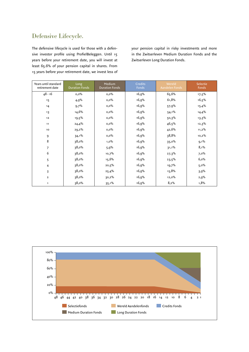# Defensive Lifecycle.

The defensive lifecycle is used for those with a defensive investor profile using ProfielBeleggen. Until 15 years before your retirement date, you will invest at least 65.6% of your pension capital in shares. From 15 years before your retirement date, we invest less of your pension capital in risky investments and more in the Zwitserleven Medium Duration Fonds and the Zwitserleven Long Duration Fonds.

| Years until standard<br>retirement date | Long<br><b>Duration Fonds</b> | Medium<br><b>Duration Fonds</b> | <b>Credits</b><br>Fonds | Wereld<br>Aandelen Fonds | Selectie<br>Fonds |
|-----------------------------------------|-------------------------------|---------------------------------|-------------------------|--------------------------|-------------------|
| $48 - 16$                               | $0,0\%$                       | $0,0\%$                         | 16,9%                   | 65,6%                    | $17,5\%$          |
| 15                                      | 4.9%                          | $0,0\%$                         | 16,9%                   | 61,8%                    | 16,5%             |
| 14                                      | 9,7%                          | $0,0\%$                         | 16,9%                   | 57,9%                    | 15,4%             |
| 13                                      | 14,6%                         | $0,0\%$                         | 16,9%                   | $54,1\%$                 | 14,4%             |
| 12                                      | $19,5\%$                      | $0,0\%$                         | 16,9%                   | 50,3%                    | 13,3%             |
| 11                                      | 24,4%                         | $0,0\%$                         | 16,9%                   | 46,5%                    | 12,3%             |
| 10                                      | 29,2%                         | $0,0\%$                         | 16,9%                   | 42,6%                    | 11,2%             |
| 9                                       | $34,1\%$                      | $0,0\%$                         | 16,9%                   | 38,8%                    | 10,2%             |
| 8                                       | 38,0%                         | $1,0\%$                         | 16,9%                   | 35,0%                    | $9,1\%$           |
| 7                                       | 38,0%                         | 5,9%                            | 16,9%                   | $31,1\%$                 | 8,1%              |
| 6                                       | 38,0%                         | 10,7%                           | 16,9%                   | 27,3%                    | 7,0%              |
| 5                                       | 38,0%                         | 15,6%                           | 16,9%                   | $23,5\%$                 | 6,0%              |
| $\overline{4}$                          | 38,0%                         | 20,5%                           | 16,9%                   | 19,7%                    | 5,0%              |
| 3                                       | 38,0%                         | 25,4%                           | 16,9%                   | 15,8%                    | 3,9%              |
| $\overline{2}$                          | 38,0%                         | 30,2%                           | 16,9%                   | 12,0%                    | 2,9%              |
| 1                                       | 38,0%                         | $35,1\%$                        | 16,9%                   | 8,2%                     | 1,8%              |

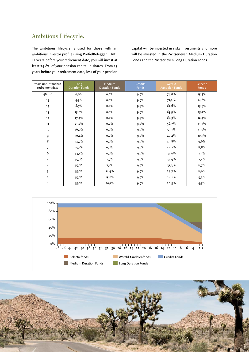# Ambitious Lifecycle.

The ambitious lifecycle is used for those with an ambitious investor profile using ProfielBeleggen. Until 15 years before your retirement date, you will invest at least 74.8% of your pension capital in shares. From 15 years before your retirement date, less of your pension capital will be invested in risky investments and more will be invested in the Zwitserleven Medium Duration Fonds and the Zwitserleven Long Duration Fonds.

| Years until standard<br>retirement date | Long<br><b>Duration Fonds</b> | Medium<br><b>Duration Fonds</b> | <b>Credits</b><br>Fonds | Wereld<br>Aandelen Fonds | Selectie<br>Fonds |
|-----------------------------------------|-------------------------------|---------------------------------|-------------------------|--------------------------|-------------------|
| $48 - 16$                               | $0,0\%$                       | $0,0\%$                         | 9,9%                    | 74,8%                    | 15,3%             |
| 15                                      | 4,3%                          | 0,0%                            | 9,9%                    | 71,2%                    | 14,6%             |
| 14                                      | 8,7%                          | $0,0\%$                         | 9,9%                    | 67,6%                    | 13,9%             |
| 13                                      | $13,0\%$                      | $0,0\%$                         | 9,9%                    | 63,9%                    | $13,1\%$          |
| 12                                      | 17,4%                         | 0,0%                            | 9,9%                    | 60,3%                    | 12,4%             |
| 11                                      | 21,7%                         | $0,0\%$                         | 9,9%                    | 56,7%                    | 11,7%             |
| 10                                      | 26,0%                         | $0,0\%$                         | 9,9%                    | $53,1\%$                 | 11,0%             |
| 9                                       | 30,4%                         | $0,0\%$                         | 9,9%                    | 49,4%                    | 10,3%             |
| 8                                       | 34,7%                         | 0,0%                            | 9,9%                    | 45,8%                    | 9,6%              |
| $\overline{7}$                          | 39,1%                         | $0,\!0\%$                       | 9,9%                    | 42,2%                    | 8,8%              |
| 6                                       | 43,4%                         | $0,0\%$                         | 9,9%                    | 38,6%                    | 8,1%              |
| 5                                       | 45,0%                         | 2,7%                            | 9,9%                    | 34.9%                    | 7,4%              |
| 4                                       | 45,0%                         | $7,1\%$                         | 9,9%                    | 31,3%                    | 6,7%              |
| 3                                       | 45,0%                         | 11,4%                           | 9,9%                    | 27,7%                    | 6,0%              |
| $\overline{\mathbf{2}}$                 | $45,0\%$                      | 15,8%                           | 9,9%                    | $24,1\%$                 | 5,3%              |
| 1                                       | $45,0\%$                      | 20,1%                           | 9,9%                    | 20,5%                    | $4,5\%$           |



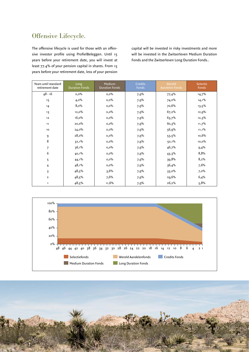# Offensive Lifecycle.

The offensive lifecycle is used for those with an offensive investor profile using ProfielBeleggen. Until 15 years before your retirement date, you will invest at least 77.4% of your pension capital in shares. From 15 years before your retirement date, less of your pension capital will be invested in risky investments and more will be invested in the Zwitserleven Medium Duration Fonds and the Zwitserleven Long Duration Fonds..

| Years until standard<br>retirement date | Long<br><b>Duration Fonds</b> | Medium<br><b>Duration Fonds</b> | <b>Credits</b><br>Fonds | Wereld<br>Aandelen Fonds | Selectie<br>Fonds |
|-----------------------------------------|-------------------------------|---------------------------------|-------------------------|--------------------------|-------------------|
| $48 - 16$                               | $0,0\%$                       | 0,0%                            | 7,9%                    | 77,4%                    | 14,7%             |
| 15                                      | $4,0\%$                       | 0,0%                            | 7,9%                    | $74,0\%$                 | $14,1\%$          |
| 14                                      | 8,0%                          | 0,0%                            | 7,9%                    | 70,6%                    | $13,5\%$          |
| 13                                      | 12,0%                         | 0,0%                            | 7,9%                    | 67,2%                    | 12,9%             |
| 12                                      | 16,0%                         | $0,0\%$                         | 7,9%                    | 63,7%                    | 12,3%             |
| 11                                      | 20,0%                         | $0,0\%$                         | 7,9%                    | 60,3%                    | 11,7%             |
| 10                                      | $24,0\%$                      | $0,0\%$                         | 7,9%                    | 56,9%                    | $11,1\%$          |
| 9                                       | 28,0%                         | $0,0\%$                         | 7,9%                    | $53,5\%$                 | 10,6%             |
| 8                                       | $32,1\%$                      | $0,0\%$                         | 7,9%                    | $50,1\%$                 | 10,0%             |
| 7                                       | 36,1%                         | $0,\!0\%$                       | 7,9%                    | 46,7%                    | 9,4%              |
| 6                                       | 40,1%                         | $0,0\%$                         | 7,9%                    | $43,3\%$                 | 8,8%              |
| 5                                       | $44,1\%$                      | $0,0\%$                         | 7,9%                    | 39,8%                    | 8,2%              |
| 4                                       | 48,1%                         | $0,0\%$                         | 7,9%                    | 36,4%                    | 7,6%              |
| 3                                       | 48,5%                         | 3,6%                            | 7,9%                    | 33,0%                    | $7,0\%$           |
| $\overline{2}$                          | 48,5%                         | 7,6%                            | 7,9%                    | 29,6%                    | 6,4%              |
| 1                                       | 48,5%                         | 11,6%                           | 7,9%                    | 26,2%                    | 5,8%              |